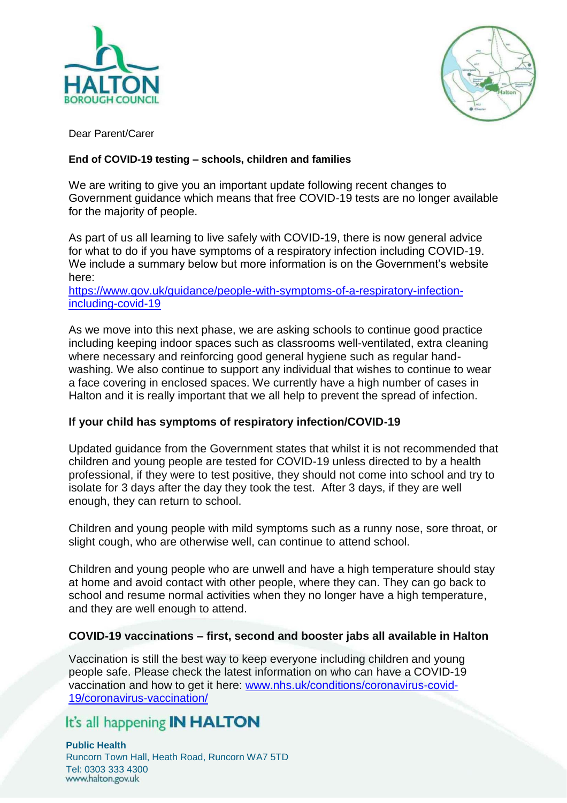



Dear Parent/Carer

## **End of COVID-19 testing – schools, children and families**

We are writing to give you an important update following recent changes to Government guidance which means that free COVID-19 tests are no longer available for the majority of people.

As part of us all learning to live safely with COVID-19, there is now general advice for what to do if you have symptoms of a respiratory infection including COVID-19. We include a summary below but more information is on the Government's website here:

[https://www.gov.uk/guidance/people-with-symptoms-of-a-respiratory-infection](https://www.gov.uk/guidance/people-with-symptoms-of-a-respiratory-infection-including-covid-19)[including-covid-19](https://www.gov.uk/guidance/people-with-symptoms-of-a-respiratory-infection-including-covid-19)

As we move into this next phase, we are asking schools to continue good practice including keeping indoor spaces such as classrooms well-ventilated, extra cleaning where necessary and reinforcing good general hygiene such as regular handwashing. We also continue to support any individual that wishes to continue to wear a face covering in enclosed spaces. We currently have a high number of cases in Halton and it is really important that we all help to prevent the spread of infection.

## **If your child has symptoms of respiratory infection/COVID-19**

Updated guidance from the Government states that whilst it is not recommended that children and young people are tested for COVID-19 unless directed to by a health professional, if they were to test positive, they should not come into school and try to isolate for 3 days after the day they took the test. After 3 days, if they are well enough, they can return to school.

Children and young people with mild symptoms such as a runny nose, sore throat, or slight cough, who are otherwise well, can continue to attend school.

Children and young people who are unwell and have a high temperature should stay at home and avoid contact with other people, where they can. They can go back to school and resume normal activities when they no longer have a high temperature, and they are well enough to attend.

## **COVID-19 vaccinations – first, second and booster jabs all available in Halton**

Vaccination is still the best way to keep everyone including children and young people safe. Please check the latest information on who can have a COVID-19 vaccination and how to get it here: [www.nhs.uk/conditions/coronavirus-covid-](http://www.nhs.uk/conditions/coronavirus-covid-19/coronavirus-vaccination/)[19/coronavirus-vaccination/](http://www.nhs.uk/conditions/coronavirus-covid-19/coronavirus-vaccination/)

## It's all happening **IN HALTON**

**Public Health** Runcorn Town Hall, Heath Road, Runcorn WA7 5TD Tel: 0303 333 4300<br>www.halton.gov.uk